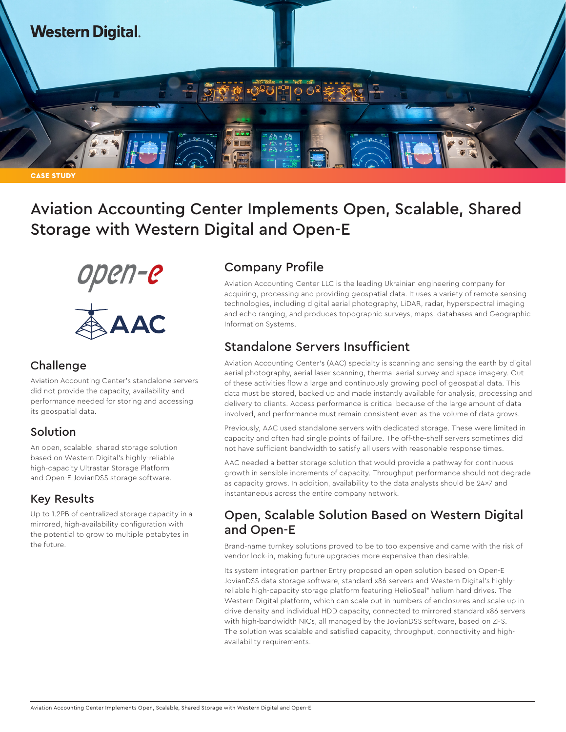

**CASE STUDY** 

Aviation Accounting Center Implements Open, Scalable, Shared Storage with Western Digital and Open-E



### **Challenge**

Aviation Accounting Center's standalone servers did not provide the capacity, availability and performance needed for storing and accessing its geospatial data.

# Solution

An open, scalable, shared storage solution based on Western Digital's highly-reliable high-capacity Ultrastar Storage Platform and Open-E JovianDSS storage software.

# Key Results

Up to 1.2PB of centralized storage capacity in a mirrored, high-availability configuration with the potential to grow to multiple petabytes in the future.

# Company Profile

Aviation Accounting Center LLC is the leading Ukrainian engineering company for acquiring, processing and providing geospatial data. It uses a variety of remote sensing technologies, including digital aerial photography, LiDAR, radar, hyperspectral imaging and echo ranging, and produces topographic surveys, maps, databases and Geographic Information Systems.

# Standalone Servers Insufficient

Aviation Accounting Center's (AAC) specialty is scanning and sensing the earth by digital aerial photography, aerial laser scanning, thermal aerial survey and space imagery. Out of these activities flow a large and continuously growing pool of geospatial data. This data must be stored, backed up and made instantly available for analysis, processing and delivery to clients. Access performance is critical because of the large amount of data involved, and performance must remain consistent even as the volume of data grows.

Previously, AAC used standalone servers with dedicated storage. These were limited in capacity and often had single points of failure. The off-the-shelf servers sometimes did not have sufficient bandwidth to satisfy all users with reasonable response times.

AAC needed a better storage solution that would provide a pathway for continuous growth in sensible increments of capacity. Throughput performance should not degrade as capacity grows. In addition, availability to the data analysts should be 24×7 and instantaneous across the entire company network.

# Open, Scalable Solution Based on Western Digital and Open-E

Brand-name turnkey solutions proved to be to too expensive and came with the risk of vendor lock-in, making future upgrades more expensive than desirable.

Its system integration partner Entry proposed an open solution based on Open-E JovianDSS data storage software, standard x86 servers and Western Digital's highlyreliable high-capacity storage platform featuring HelioSeal® helium hard drives. The Western Digital platform, which can scale out in numbers of enclosures and scale up in drive density and individual HDD capacity, connected to mirrored standard x86 servers with high-bandwidth NICs, all managed by the JovianDSS software, based on ZFS. The solution was scalable and satisfied capacity, throughput, connectivity and highavailability requirements.